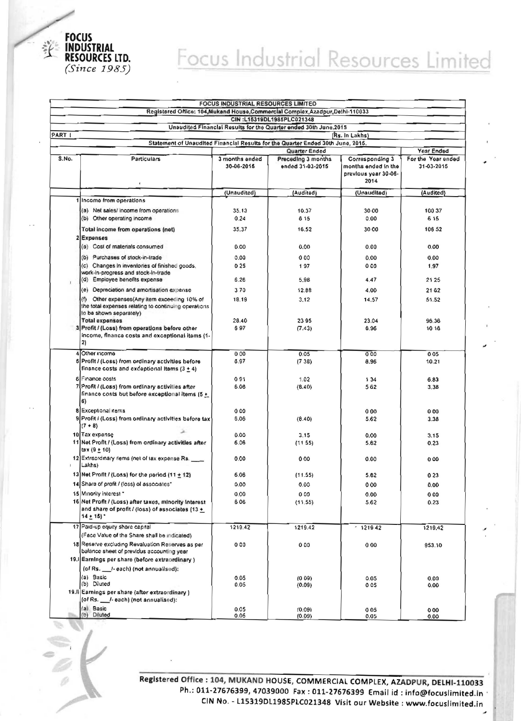

## Focus Industrial Resources Limited

|                           | <b>FOCUS INDUSTRIAL RESOURCES LIMITED</b><br>Registered Office: 104, Mukand House, Commercial Complex, Azadpur, Delhi-110033     |                              |                                                                  |                                                                        |                                  |  |  |  |
|---------------------------|----------------------------------------------------------------------------------------------------------------------------------|------------------------------|------------------------------------------------------------------|------------------------------------------------------------------------|----------------------------------|--|--|--|
| CIN:L16319DL1985PLC021348 |                                                                                                                                  |                              |                                                                  |                                                                        |                                  |  |  |  |
|                           |                                                                                                                                  |                              | Unaudited Financial Results for the Quarter ended 30th June.2015 |                                                                        |                                  |  |  |  |
| PART I                    | (Rs. In Lakhs)<br>Statement of Unaudited Financial Results for the Quarter Ended 30th June, 2016.                                |                              |                                                                  |                                                                        |                                  |  |  |  |
|                           |                                                                                                                                  |                              | Quarter Ended                                                    |                                                                        | Year Ended                       |  |  |  |
| S.No.                     | <b>Particulars</b>                                                                                                               | 3 months ended<br>30-06-2015 | Preceding 3 months<br>ended 31-03-2015                           | Corresponding 3<br>months ended in the<br>previous year 30-06-<br>2014 | For the Year ended<br>31-03-2016 |  |  |  |
|                           | $\overline{ }$                                                                                                                   |                              |                                                                  |                                                                        |                                  |  |  |  |
|                           |                                                                                                                                  | (Unaudited)                  | (Audited)                                                        | (Unaudited)                                                            | (Audited)                        |  |  |  |
|                           | Income from operations                                                                                                           |                              |                                                                  |                                                                        |                                  |  |  |  |
|                           | (a) Net sales/income from operations<br>(b) Other operating income                                                               | 35.13<br>0.24                | 10.37<br>6 15                                                    | 30 00<br>0.00                                                          | 100 37<br>6 15                   |  |  |  |
|                           |                                                                                                                                  |                              |                                                                  |                                                                        |                                  |  |  |  |
|                           | Total income from operations (net)                                                                                               | 35.37                        | 16.52                                                            | 30 00                                                                  | 106 52                           |  |  |  |
|                           | <b>Expenses</b><br>(a) Cost of materials consumed                                                                                | 0.00                         | 0.00                                                             | 0.00                                                                   | 0.00                             |  |  |  |
|                           |                                                                                                                                  |                              |                                                                  |                                                                        |                                  |  |  |  |
|                           | (b) Purchases of stock-in-trade                                                                                                  | 0.00                         | 000                                                              | 0.00                                                                   | 0.00                             |  |  |  |
|                           | (c) Changes in inventories of finished goods.<br>work-in-progress and stock-in-trade                                             | 0.25                         | 197                                                              | 000                                                                    | 1,97                             |  |  |  |
|                           | (d) Employee benefits expense                                                                                                    | 6.26                         | 5.98                                                             | 4.47                                                                   | 21 25                            |  |  |  |
|                           | (e) Depreciation and amortisation expense                                                                                        | 370                          | 12.88                                                            | 4.00                                                                   | 21 62                            |  |  |  |
|                           | (f) Other expenses (Any item exceeding 10% of<br>the total expenses relating to continuing operations<br>to be shown separately) | 18.19                        | 3.12                                                             | 14.57                                                                  | 51.52                            |  |  |  |
|                           | <b>Total expenses</b>                                                                                                            | 28,40                        | 2395                                                             | 23.04                                                                  | 96.36                            |  |  |  |
|                           | 3 Profit / (Loss) from operations before other<br>income, finance costs and exceptional items (1-<br>2)                          | 697                          | (7.43)                                                           | 6.96                                                                   | 10 16                            |  |  |  |
|                           | 4 Other incorne                                                                                                                  | 000                          | 0.05                                                             | 000                                                                    | 005                              |  |  |  |
|                           | 5 Profit / (Loss) from ordinary activities before<br>finance costs and exceptional items $(3 + 4)$                               | 8.97                         | (738)                                                            | 8.96                                                                   | 10.21                            |  |  |  |
|                           | 6 Finance costs                                                                                                                  | 091                          | 1.02                                                             | 134                                                                    | 6.83                             |  |  |  |
|                           | 7 Profit / (Loss) from ordinary activities after<br>finance costs but before exceptional items (5 +<br>6)                        | 6.06                         | (8.40)                                                           | 562                                                                    | 3,38                             |  |  |  |
|                           | 8 Exceptional items                                                                                                              | 000                          |                                                                  | 000                                                                    | 000                              |  |  |  |
|                           | 9 Profit / (Loss) from ordinary activities before tax<br>$(7 + 8)$                                                               | 6.06                         | (8.40)                                                           | 5.62                                                                   | 3.38                             |  |  |  |
|                           | 10 Tax expense                                                                                                                   | 0.00                         | 3.15                                                             | 0.00                                                                   | 3.15                             |  |  |  |
|                           | 11 Net Profit / (Loss) from ordinary activities after<br>$\texttt{tax}(9 \pm 10)$                                                | 6.06                         | (1155)                                                           | 5.62                                                                   | 0.23                             |  |  |  |
|                           | 12 Extraordinary items (net of tax expense Rs.<br>Lakhs)                                                                         | 0.00                         | 000                                                              | 0.00                                                                   | 0.00                             |  |  |  |
|                           | 13 Net Profit / (Loss) for the period $(11 + 12)$                                                                                | 6.06                         | (11.55)                                                          | 5.62                                                                   | 023                              |  |  |  |
|                           | 14 Share of profit / (loss) of associates*                                                                                       | 0.00                         | 0.00                                                             | 000                                                                    | 0.00                             |  |  |  |
|                           | 15 Minority interest *                                                                                                           | 0.00                         | 000                                                              | 0.00                                                                   | 000                              |  |  |  |
|                           | 16 Net Profit / (Loss) after taxes, minority Interest<br>and share of profit / (loss) of associates (13+<br>14 ± 15}*            | 606                          | (11.55)                                                          | 5.62                                                                   | 0.23                             |  |  |  |
|                           | 17 Paid-up equity share capital                                                                                                  | 1219.42                      | 1219.42                                                          | $-121942$                                                              | 1219.42                          |  |  |  |
|                           | (Face Value of the Share shall be indicated)                                                                                     |                              |                                                                  |                                                                        |                                  |  |  |  |
|                           | 18 Reserve excluding Revaluation Reserves as per<br>balance sheet of previous accounting year                                    | 000                          | 000                                                              | 000                                                                    | 953.10                           |  |  |  |
|                           | 19. Samings per share (before extraordinary)                                                                                     |                              |                                                                  |                                                                        |                                  |  |  |  |
|                           | (of Rs. __ /- each) (not annualised):                                                                                            |                              |                                                                  |                                                                        |                                  |  |  |  |
|                           | (a) Basic<br>(b) Diluted                                                                                                         | 0.05<br>0.05                 | (009)                                                            | 0.05<br>005                                                            | 0.00                             |  |  |  |
|                           | 19. li Earnings per share (after extraordinary)<br>(of Rs. ___ /- each) (not annualised):                                        |                              | (0.09)                                                           |                                                                        | 0.00                             |  |  |  |
|                           | (a) Basic                                                                                                                        | 0.05                         | (0.09)                                                           | 005                                                                    | 000                              |  |  |  |
|                           | (b) Diluted                                                                                                                      | 0.05                         | (0.09)                                                           | 0.05                                                                   | 0.00                             |  |  |  |

Registered Office : 104, MUKAND HOUSE, COMMERCIAL COMPLEX, AZADPUR, DELHI-110033 Ph.: 011-27676399, 47039000 Fax: 011-27676399 Email id: info@focuslimited.in CIN No. - L15319DL1985PLC021348 Visit our Website : www.focuslimited.in